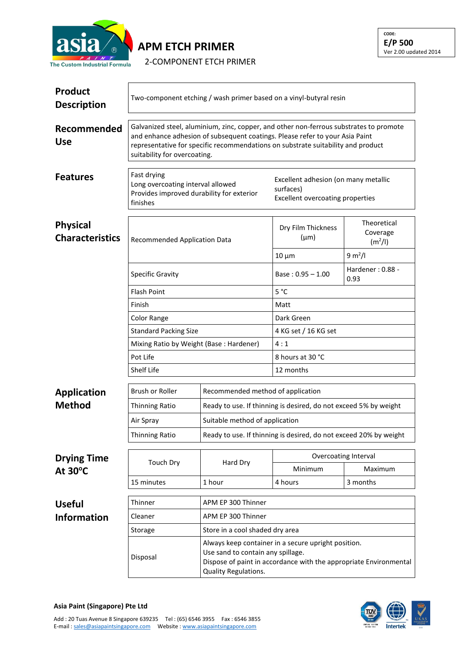

## **APM ETCH PRIMER**

2-COMPONENT ETCH PRIMER

**CODE: E/P 500** Ver 2.00 updated 2014

| <b>Product</b><br><b>Description</b>      | Two-component etching / wash primer based on a vinyl-butyral resin                                                                                                                                                                                                                         |                                                                                                                                                                                       |                                                                                              |                                                |  |  |
|-------------------------------------------|--------------------------------------------------------------------------------------------------------------------------------------------------------------------------------------------------------------------------------------------------------------------------------------------|---------------------------------------------------------------------------------------------------------------------------------------------------------------------------------------|----------------------------------------------------------------------------------------------|------------------------------------------------|--|--|
| Recommended<br><b>Use</b>                 | Galvanized steel, aluminium, zinc, copper, and other non-ferrous substrates to promote<br>and enhance adhesion of subsequent coatings. Please refer to your Asia Paint<br>representative for specific recommendations on substrate suitability and product<br>suitability for overcoating. |                                                                                                                                                                                       |                                                                                              |                                                |  |  |
| <b>Features</b>                           | Fast drying<br>Long overcoating interval allowed<br>Provides improved durability for exterior<br>finishes                                                                                                                                                                                  |                                                                                                                                                                                       | Excellent adhesion (on many metallic<br>surfaces)<br><b>Excellent overcoating properties</b> |                                                |  |  |
| <b>Physical</b><br><b>Characteristics</b> | <b>Recommended Application Data</b>                                                                                                                                                                                                                                                        |                                                                                                                                                                                       | Dry Film Thickness<br>$(\mu m)$                                                              | Theoretical<br>Coverage<br>(m <sup>2</sup> /I) |  |  |
|                                           |                                                                                                                                                                                                                                                                                            |                                                                                                                                                                                       | $10 \mu m$                                                                                   | 9 m <sup>2</sup> /I                            |  |  |
|                                           | <b>Specific Gravity</b>                                                                                                                                                                                                                                                                    |                                                                                                                                                                                       | Base: $0.95 - 1.00$                                                                          | Hardener: 0.88 -<br>0.93                       |  |  |
|                                           | <b>Flash Point</b>                                                                                                                                                                                                                                                                         |                                                                                                                                                                                       | $5^{\circ}$ C                                                                                |                                                |  |  |
|                                           | Finish                                                                                                                                                                                                                                                                                     |                                                                                                                                                                                       | Matt                                                                                         |                                                |  |  |
|                                           | Color Range                                                                                                                                                                                                                                                                                |                                                                                                                                                                                       | Dark Green                                                                                   |                                                |  |  |
|                                           | <b>Standard Packing Size</b>                                                                                                                                                                                                                                                               |                                                                                                                                                                                       | 4 KG set / 16 KG set                                                                         |                                                |  |  |
|                                           | Mixing Ratio by Weight (Base: Hardener)                                                                                                                                                                                                                                                    |                                                                                                                                                                                       | 4:1                                                                                          |                                                |  |  |
|                                           | Pot Life                                                                                                                                                                                                                                                                                   |                                                                                                                                                                                       | 8 hours at 30 °C                                                                             |                                                |  |  |
|                                           | Shelf Life                                                                                                                                                                                                                                                                                 |                                                                                                                                                                                       |                                                                                              | 12 months                                      |  |  |
| <b>Application</b>                        | Brush or Roller                                                                                                                                                                                                                                                                            | Recommended method of application                                                                                                                                                     |                                                                                              |                                                |  |  |
| <b>Method</b>                             | <b>Thinning Ratio</b>                                                                                                                                                                                                                                                                      |                                                                                                                                                                                       | Ready to use. If thinning is desired, do not exceed 5% by weight                             |                                                |  |  |
|                                           | Air Spray                                                                                                                                                                                                                                                                                  |                                                                                                                                                                                       | Suitable method of application                                                               |                                                |  |  |
|                                           | Thinning Ratio                                                                                                                                                                                                                                                                             | Ready to use. If thinning is desired, do not exceed 20% by weight                                                                                                                     |                                                                                              |                                                |  |  |
| <b>Drying Time</b>                        | <b>Touch Dry</b>                                                                                                                                                                                                                                                                           | Hard Dry                                                                                                                                                                              | Overcoating Interval                                                                         |                                                |  |  |
| At $30^{\circ}$ C                         |                                                                                                                                                                                                                                                                                            |                                                                                                                                                                                       | Minimum                                                                                      | Maximum                                        |  |  |
|                                           | 15 minutes                                                                                                                                                                                                                                                                                 | 1 hour                                                                                                                                                                                | 4 hours                                                                                      | 3 months                                       |  |  |
| <b>Useful</b>                             | Thinner                                                                                                                                                                                                                                                                                    | APM EP 300 Thinner                                                                                                                                                                    |                                                                                              |                                                |  |  |
| <b>Information</b>                        | Cleaner                                                                                                                                                                                                                                                                                    | APM EP 300 Thinner                                                                                                                                                                    |                                                                                              |                                                |  |  |
|                                           | Storage                                                                                                                                                                                                                                                                                    | Store in a cool shaded dry area                                                                                                                                                       |                                                                                              |                                                |  |  |
|                                           | Disposal                                                                                                                                                                                                                                                                                   | Always keep container in a secure upright position.<br>Use sand to contain any spillage.<br>Dispose of paint in accordance with the appropriate Environmental<br>Quality Regulations. |                                                                                              |                                                |  |  |